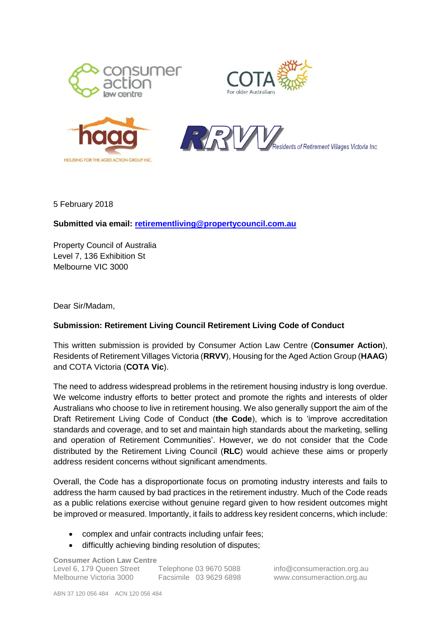







5 February 2018

**Submitted via email: [retirementliving@propertycouncil.com.au](mailto:retirementliving@propertycouncil.com.au)**

Property Council of Australia Level 7, 136 Exhibition St Melbourne VIC 3000

Dear Sir/Madam,

# **Submission: Retirement Living Council Retirement Living Code of Conduct**

This written submission is provided by Consumer Action Law Centre (**Consumer Action**), Residents of Retirement Villages Victoria (**RRVV**), Housing for the Aged Action Group (**HAAG**) and COTA Victoria (**COTA Vic**).

The need to address widespread problems in the retirement housing industry is long overdue. We welcome industry efforts to better protect and promote the rights and interests of older Australians who choose to live in retirement housing. We also generally support the aim of the Draft Retirement Living Code of Conduct (**the Code**), which is to 'improve accreditation standards and coverage, and to set and maintain high standards about the marketing, selling and operation of Retirement Communities'. However, we do not consider that the Code distributed by the Retirement Living Council (**RLC**) would achieve these aims or properly address resident concerns without significant amendments.

Overall, the Code has a disproportionate focus on promoting industry interests and fails to address the harm caused by bad practices in the retirement industry. Much of the Code reads as a public relations exercise without genuine regard given to how resident outcomes might be improved or measured. Importantly, it fails to address key resident concerns, which include:

• complex and unfair contracts including unfair fees;

**Consumer Action Law Centre** Level 6, 179 Queen Street Telephone 03 9670 5088 [info@consumeraction.org.au](mailto:info@consumeraction.org.au) • difficultly achieving binding resolution of disputes;

Melbourne Victoria 3000 Facsimile 03 9629 6898 www.consumeraction.org.au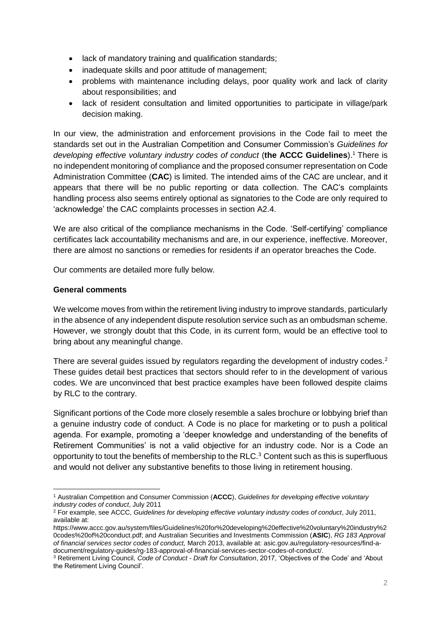- lack of mandatory training and qualification standards;
- inadequate skills and poor attitude of management;
- problems with maintenance including delays, poor quality work and lack of clarity about responsibilities; and
- lack of resident consultation and limited opportunities to participate in village/park decision making.

In our view, the administration and enforcement provisions in the Code fail to meet the standards set out in the Australian Competition and Consumer Commission's *Guidelines for developing effective voluntary industry codes of conduct* (**the ACCC Guidelines**).<sup>1</sup> There is no independent monitoring of compliance and the proposed consumer representation on Code Administration Committee (**CAC**) is limited. The intended aims of the CAC are unclear, and it appears that there will be no public reporting or data collection. The CAC's complaints handling process also seems entirely optional as signatories to the Code are only required to 'acknowledge' the CAC complaints processes in section A2.4.

We are also critical of the compliance mechanisms in the Code. 'Self-certifying' compliance certificates lack accountability mechanisms and are, in our experience, ineffective. Moreover, there are almost no sanctions or remedies for residents if an operator breaches the Code.

Our comments are detailed more fully below.

### **General comments**

We welcome moves from within the retirement living industry to improve standards, particularly in the absence of any independent dispute resolution service such as an ombudsman scheme. However, we strongly doubt that this Code, in its current form, would be an effective tool to bring about any meaningful change.

There are several guides issued by regulators regarding the development of industry codes.<sup>2</sup> These guides detail best practices that sectors should refer to in the development of various codes. We are unconvinced that best practice examples have been followed despite claims by RLC to the contrary.

Significant portions of the Code more closely resemble a sales brochure or lobbying brief than a genuine industry code of conduct. A Code is no place for marketing or to push a political agenda. For example, promoting a 'deeper knowledge and understanding of the benefits of Retirement Communities' is not a valid objective for an industry code. Nor is a Code an opportunity to tout the benefits of membership to the RLC.<sup>3</sup> Content such as this is superfluous and would not deliver any substantive benefits to those living in retirement housing.

 $\overline{a}$ <sup>1</sup> Australian Competition and Consumer Commission (**ACCC**), *Guidelines for developing effective voluntary industry codes of conduct*, July 2011

<sup>2</sup> For example, see ACCC, *Guidelines for developing effective voluntary industry codes of conduct*, July 2011, available at:

https://www.accc.gov.au/system/files/Guidelines%20for%20developing%20effective%20voluntary%20industry%2 0codes%20of%20conduct.pdf; and Australian Securities and Investments Commission (**ASIC**), *RG 183 Approval of financial services sector codes of conduct,* March 2013, available at: asic.gov.au/regulatory-resources/find-adocument/regulatory-guides/rg-183-approval-of-financial-services-sector-codes-of-conduct/.

<sup>3</sup> Retirement Living Council, *Code of Conduct - Draft for Consultation*, 2017, 'Objectives of the Code' and 'About the Retirement Living Council'.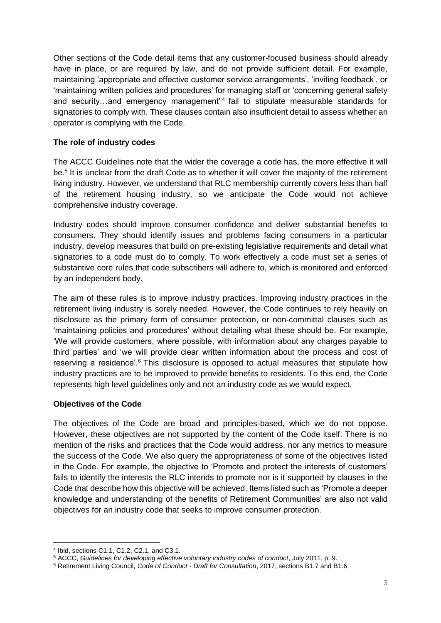Other sections of the Code detail items that any customer-focused business should already have in place, or are required by law, and do not provide sufficient detail. For example, maintaining 'appropriate and effective customer service arrangements', 'inviting feedback', or 'maintaining written policies and procedures' for managing staff or 'concerning general safety and security...and emergency management<sup>'4</sup> fail to stipulate measurable standards for signatories to comply with. These clauses contain also insufficient detail to assess whether an operator is complying with the Code.

## **The role of industry codes**

The ACCC Guidelines note that the wider the coverage a code has, the more effective it will be.<sup>5</sup> It is unclear from the draft Code as to whether it will cover the majority of the retirement living industry. However, we understand that RLC membership currently covers less than half of the retirement housing industry, so we anticipate the Code would not achieve comprehensive industry coverage.

Industry codes should improve consumer confidence and deliver substantial benefits to consumers. They should identify issues and problems facing consumers in a particular industry, develop measures that build on pre-existing legislative requirements and detail what signatories to a code must do to comply. To work effectively a code must set a series of substantive core rules that code subscribers will adhere to, which is monitored and enforced by an independent body.

The aim of these rules is to improve industry practices. Improving industry practices in the retirement living industry is sorely needed. However, the Code continues to rely heavily on disclosure as the primary form of consumer protection, or non-committal clauses such as 'maintaining policies and procedures' without detailing what these should be. For example, 'We will provide customers, where possible, with information about any charges payable to third parties' and 'we will provide clear written information about the process and cost of reserving a residence'.<sup>6</sup> This disclosure is opposed to actual measures that stipulate how industry practices are to be improved to provide benefits to residents. To this end, the Code represents high level guidelines only and not an industry code as we would expect.

#### **Objectives of the Code**

The objectives of the Code are broad and principles-based, which we do not oppose. However, these objectives are not supported by the content of the Code itself. There is no mention of the risks and practices that the Code would address, nor any metrics to measure the success of the Code. We also query the appropriateness of some of the objectives listed in the Code. For example, the objective to 'Promote and protect the interests of customers' fails to identify the interests the RLC intends to promote nor is it supported by clauses in the Code that describe how this objective will be achieved. Items listed such as 'Promote a deeper knowledge and understanding of the benefits of Retirement Communities' are also not valid objectives for an industry code that seeks to improve consumer protection.

**.** 

<sup>4</sup> Ibid, sections C1.1, C1.2, C2.1, and C3.1.

<sup>5</sup> ACCC, *Guidelines for developing effective voluntary industry codes of conduct*, July 2011, p. 9.

<sup>6</sup> Retirement Living Council, *Code of Conduct - Draft for Consultation*, 2017, sections B1.7 and B1.6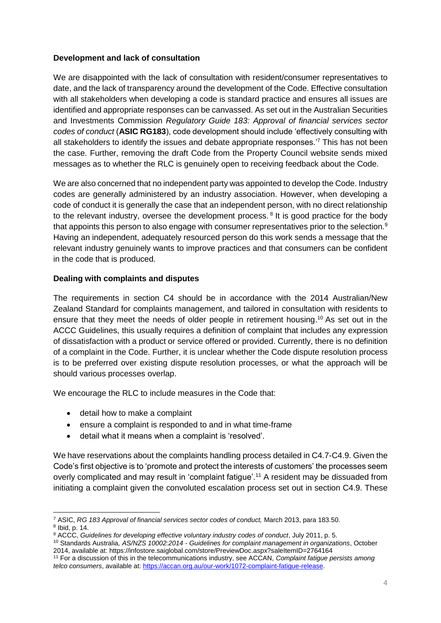### **Development and lack of consultation**

We are disappointed with the lack of consultation with resident/consumer representatives to date, and the lack of transparency around the development of the Code. Effective consultation with all stakeholders when developing a code is standard practice and ensures all issues are identified and appropriate responses can be canvassed. As set out in the Australian Securities and Investments Commission *Regulatory Guide 183: Approval of financial services sector codes of conduct* (**ASIC RG183**), code development should include 'effectively consulting with all stakeholders to identify the issues and debate appropriate responses.<sup>7</sup> This has not been the case. Further, removing the draft Code from the Property Council website sends mixed messages as to whether the RLC is genuinely open to receiving feedback about the Code.

We are also concerned that no independent party was appointed to develop the Code. Industry codes are generally administered by an industry association. However, when developing a code of conduct it is generally the case that an independent person, with no direct relationship to the relevant industry, oversee the development process.<sup>8</sup> It is good practice for the body that appoints this person to also engage with consumer representatives prior to the selection.<sup>9</sup> Having an independent, adequately resourced person do this work sends a message that the relevant industry genuinely wants to improve practices and that consumers can be confident in the code that is produced.

### **Dealing with complaints and disputes**

The requirements in section C4 should be in accordance with the 2014 Australian/New Zealand Standard for complaints management, and tailored in consultation with residents to ensure that they meet the needs of older people in retirement housing. <sup>10</sup> As set out in the ACCC Guidelines, this usually requires a definition of complaint that includes any expression of dissatisfaction with a product or service offered or provided. Currently, there is no definition of a complaint in the Code. Further, it is unclear whether the Code dispute resolution process is to be preferred over existing dispute resolution processes, or what the approach will be should various processes overlap.

We encourage the RLC to include measures in the Code that:

- detail how to make a complaint
- ensure a complaint is responded to and in what time-frame
- detail what it means when a complaint is 'resolved'.

We have reservations about the complaints handling process detailed in C4.7-C4.9. Given the Code's first objective is to 'promote and protect the interests of customers' the processes seem overly complicated and may result in 'complaint fatigue'.<sup>11</sup> A resident may be dissuaded from initiating a complaint given the convoluted escalation process set out in section C4.9. These

<sup>1</sup> <sup>7</sup> ASIC, *RG 183 Approval of financial services sector codes of conduct,* March 2013, para 183.50. 8 Ibid, p. 14.

<sup>9</sup> ACCC, *Guidelines for developing effective voluntary industry codes of conduct*, July 2011, p. 5.

<sup>10</sup> Standards Australia*, AS/NZS 10002:2014 - Guidelines for complaint management in organizations*, October 2014, available at: https://infostore.saiglobal.com/store/PreviewDoc.aspx?saleItemID=2764164

<sup>11</sup> For a discussion of this in the telecommunications industry, see ACCAN, *Complaint fatigue persists among telco consumers*, available at: [https://accan.org.au/our-work/1072-complaint-fatigue-release.](https://accan.org.au/our-work/1072-complaint-fatigue-release)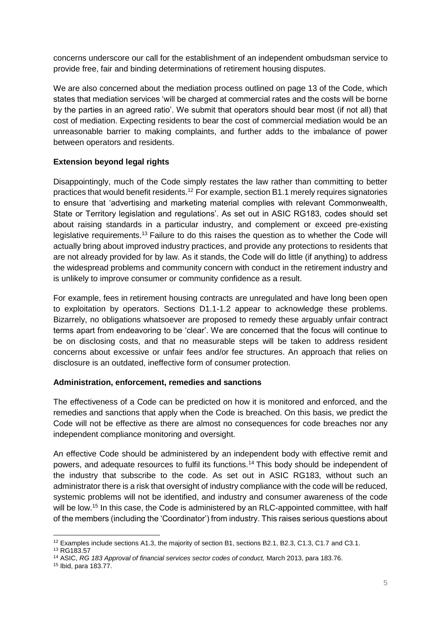concerns underscore our call for the establishment of an independent ombudsman service to provide free, fair and binding determinations of retirement housing disputes.

We are also concerned about the mediation process outlined on page 13 of the Code, which states that mediation services 'will be charged at commercial rates and the costs will be borne by the parties in an agreed ratio'. We submit that operators should bear most (if not all) that cost of mediation. Expecting residents to bear the cost of commercial mediation would be an unreasonable barrier to making complaints, and further adds to the imbalance of power between operators and residents.

# **Extension beyond legal rights**

Disappointingly, much of the Code simply restates the law rather than committing to better practices that would benefit residents.<sup>12</sup> For example, section B1.1 merely requires signatories to ensure that 'advertising and marketing material complies with relevant Commonwealth, State or Territory legislation and regulations'. As set out in ASIC RG183, codes should set about raising standards in a particular industry, and complement or exceed pre-existing legislative requirements.<sup>13</sup> Failure to do this raises the question as to whether the Code will actually bring about improved industry practices, and provide any protections to residents that are not already provided for by law. As it stands, the Code will do little (if anything) to address the widespread problems and community concern with conduct in the retirement industry and is unlikely to improve consumer or community confidence as a result.

For example, fees in retirement housing contracts are unregulated and have long been open to exploitation by operators. Sections D1.1-1.2 appear to acknowledge these problems. Bizarrely, no obligations whatsoever are proposed to remedy these arguably unfair contract terms apart from endeavoring to be 'clear'. We are concerned that the focus will continue to be on disclosing costs, and that no measurable steps will be taken to address resident concerns about excessive or unfair fees and/or fee structures. An approach that relies on disclosure is an outdated, ineffective form of consumer protection.

#### **Administration, enforcement, remedies and sanctions**

The effectiveness of a Code can be predicted on how it is monitored and enforced, and the remedies and sanctions that apply when the Code is breached. On this basis, we predict the Code will not be effective as there are almost no consequences for code breaches nor any independent compliance monitoring and oversight.

An effective Code should be administered by an independent body with effective remit and powers, and adequate resources to fulfil its functions.<sup>14</sup> This body should be independent of the industry that subscribe to the code. As set out in ASIC RG183, without such an administrator there is a risk that oversight of industry compliance with the code will be reduced, systemic problems will not be identified, and industry and consumer awareness of the code will be low.<sup>15</sup> In this case, the Code is administered by an RLC-appointed committee, with half of the members (including the 'Coordinator') from industry. This raises serious questions about

<sup>1</sup> <sup>12</sup> Examples include sections A1.3, the majority of section B1, sections B2.1, B2.3, C1.3, C1.7 and C3.1.

<sup>13</sup> RG183.57

<sup>14</sup> ASIC, *RG 183 Approval of financial services sector codes of conduct,* March 2013, para 183.76.

<sup>15</sup> Ibid, para 183.77.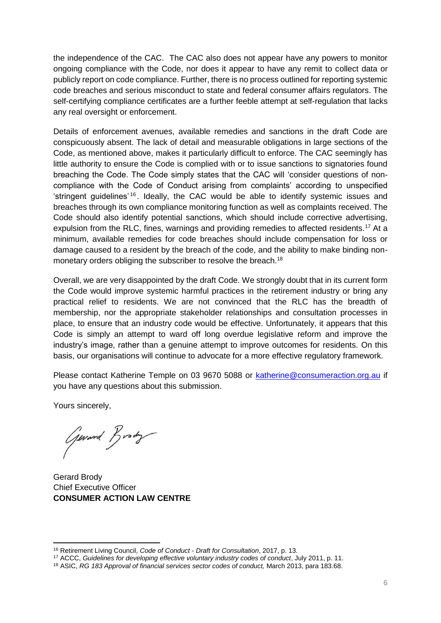the independence of the CAC. The CAC also does not appear have any powers to monitor ongoing compliance with the Code, nor does it appear to have any remit to collect data or publicly report on code compliance. Further, there is no process outlined for reporting systemic code breaches and serious misconduct to state and federal consumer affairs regulators. The self-certifying compliance certificates are a further feeble attempt at self-regulation that lacks any real oversight or enforcement.

Details of enforcement avenues, available remedies and sanctions in the draft Code are conspicuously absent. The lack of detail and measurable obligations in large sections of the Code, as mentioned above, makes it particularly difficult to enforce. The CAC seemingly has little authority to ensure the Code is complied with or to issue sanctions to signatories found breaching the Code. The Code simply states that the CAC will 'consider questions of noncompliance with the Code of Conduct arising from complaints' according to unspecified 'stringent guidelines' <sup>16</sup> . Ideally, the CAC would be able to identify systemic issues and breaches through its own compliance monitoring function as well as complaints received. The Code should also identify potential sanctions, which should include corrective advertising, expulsion from the RLC, fines, warnings and providing remedies to affected residents.<sup>17</sup> At a minimum, available remedies for code breaches should include compensation for loss or damage caused to a resident by the breach of the code, and the ability to make binding nonmonetary orders obliging the subscriber to resolve the breach.<sup>18</sup>

Overall, we are very disappointed by the draft Code. We strongly doubt that in its current form the Code would improve systemic harmful practices in the retirement industry or bring any practical relief to residents. We are not convinced that the RLC has the breadth of membership, nor the appropriate stakeholder relationships and consultation processes in place, to ensure that an industry code would be effective. Unfortunately, it appears that this Code is simply an attempt to ward off long overdue legislative reform and improve the industry's image, rather than a genuine attempt to improve outcomes for residents. On this basis, our organisations will continue to advocate for a more effective regulatory framework.

Please contact Katherine Temple on 03 9670 5088 or [katherine@consumeraction.org.au](mailto:katherine@consumeraction.org.au) if you have any questions about this submission.

Yours sincerely,

**.** 

Gerard Brody

Gerard Brody Chief Executive Officer **CONSUMER ACTION LAW CENTRE** 

<sup>16</sup> Retirement Living Council, *Code of Conduct - Draft for Consultation*, 2017, p. 13.

<sup>17</sup> ACCC, *Guidelines for developing effective voluntary industry codes of conduct*, July 2011, p. 11.

<sup>18</sup> ASIC, *RG 183 Approval of financial services sector codes of conduct,* March 2013, para 183.68.